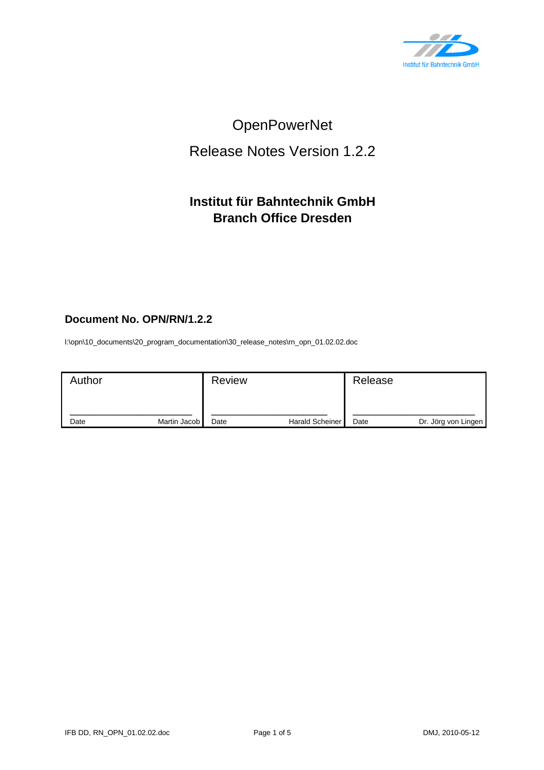

# OpenPowerNet

# Release Notes Version 1.2.2

## **Institut für Bahntechnik GmbH Branch Office Dresden**

#### **Document No. OPN/RN/1.2.2**

l:\opn\10\_documents\20\_program\_documentation\30\_release\_notes\rn\_opn\_01.02.02.doc

| Author |              | <b>Review</b> |                        | Release |                     |
|--------|--------------|---------------|------------------------|---------|---------------------|
| Date   | Martin Jacob | Date          | <b>Harald Scheiner</b> | Date    | Dr. Jörg von Lingen |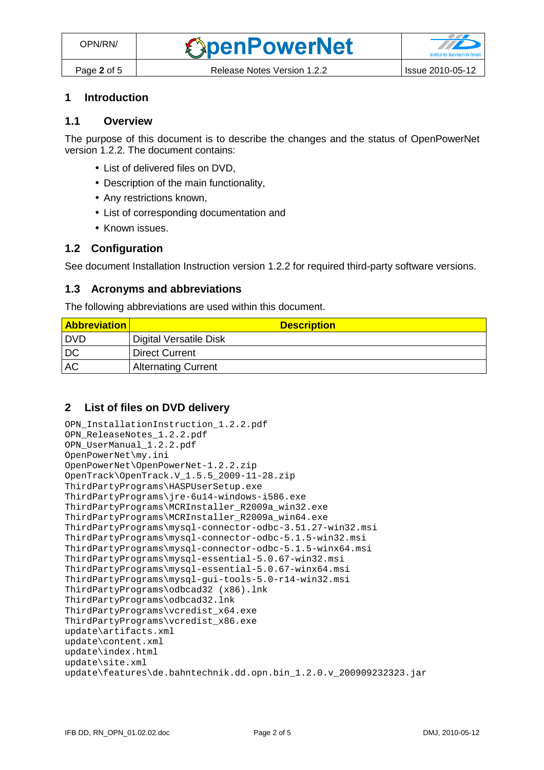### **1 Introduction**

#### **1.1 Overview**

The purpose of this document is to describe the changes and the status of OpenPowerNet version 1.2.2. The document contains:

- List of delivered files on DVD,
- Description of the main functionality,
- Any restrictions known,
- List of corresponding documentation and
- Known issues.

#### **1.2 Configuration**

See document Installation Instruction version 1.2.2 for required third-party software versions.

#### **1.3 Acronyms and abbreviations**

The following abbreviations are used within this document.

| <b>Abbreviation</b> | <b>Description</b>         |
|---------------------|----------------------------|
| I DVD               | Digital Versatile Disk     |
| DC                  | <b>Direct Current</b>      |
| <b>AC</b>           | <b>Alternating Current</b> |

#### **2 List of files on DVD delivery**

```
OPN_InstallationInstruction_1.2.2.pdf 
OPN_ReleaseNotes_1.2.2.pdf 
OPN_UserManual_1.2.2.pdf 
OpenPowerNet\my.ini 
OpenPowerNet\OpenPowerNet-1.2.2.zip 
OpenTrack\OpenTrack.V_1.5.5_2009-11-28.zip 
ThirdPartyPrograms\HASPUserSetup.exe 
ThirdPartyPrograms\jre-6u14-windows-i586.exe 
ThirdPartyPrograms\MCRInstaller_R2009a_win32.exe 
ThirdPartyPrograms\MCRInstaller_R2009a_win64.exe 
ThirdPartyPrograms\mysql-connector-odbc-3.51.27-win32.msi 
ThirdPartyPrograms\mysql-connector-odbc-5.1.5-win32.msi 
ThirdPartyPrograms\mysql-connector-odbc-5.1.5-winx64.msi 
ThirdPartyPrograms\mysql-essential-5.0.67-win32.msi
ThirdPartyPrograms\mysql-essential-5.0.67-winx64.msi 
ThirdPartyPrograms\mysql-gui-tools-5.0-r14-win32.msi 
ThirdPartyPrograms\odbcad32 (x86).lnk 
ThirdPartyPrograms\odbcad32.lnk 
ThirdPartyPrograms\vcredist_x64.exe 
ThirdPartyPrograms\vcredist_x86.exe 
update\artifacts.xml 
update\content.xml 
update\index.html 
update\site.xml 
update\features\de.bahntechnik.dd.opn.bin 1.2.0.v 200909232323.jar
```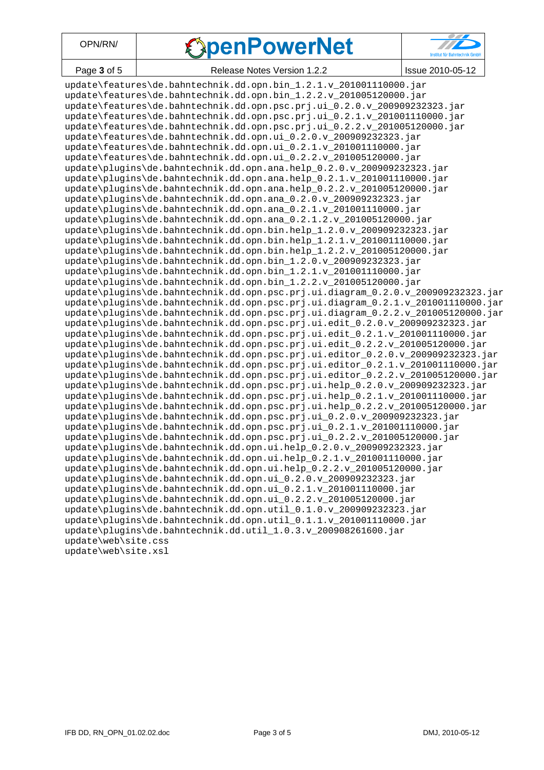| OPN/RN/ |  |
|---------|--|
|---------|--|

# **SpenPowerNet**



Page **3** of 5 Release Notes Version 1.2.2 | Issue 2010-05-12

update\features\de.bahntechnik.dd.opn.bin\_1.2.1.v\_201001110000.jar update\features\de.bahntechnik.dd.opn.bin\_1.2.2.v\_201005120000.jar update\features\de.bahntechnik.dd.opn.psc.prj.ui\_0.2.0.v\_200909232323.jar update\features\de.bahntechnik.dd.opn.psc.prj.ui\_0.2.1.v\_201001110000.jar update\features\de.bahntechnik.dd.opn.psc.prj.ui\_0.2.2.v\_201005120000.jar update\features\de.bahntechnik.dd.opn.ui\_0.2.0.v\_200909232323.jar update\features\de.bahntechnik.dd.opn.ui\_0.2.1.v\_201001110000.jar update\features\de.bahntechnik.dd.opn.ui 0.2.2.v 201005120000.jar update\plugins\de.bahntechnik.dd.opn.ana.help 0.2.0.v 200909232323.jar update\plugins\de.bahntechnik.dd.opn.ana.help\_0.2.1.v\_201001110000.jar update\plugins\de.bahntechnik.dd.opn.ana.help\_0.2.2.v\_201005120000.jar update\plugins\de.bahntechnik.dd.opn.ana\_0.2.0.v\_200909232323.jar update\plugins\de.bahntechnik.dd.opn.ana\_0.2.1.v\_201001110000.jar update\plugins\de.bahntechnik.dd.opn.ana\_0.2.1.2.v\_201005120000.jar update\plugins\de.bahntechnik.dd.opn.bin.help\_1.2.0.v\_200909232323.jar update\plugins\de.bahntechnik.dd.opn.bin.help\_1.2.1.v\_201001110000.jar update\plugins\de.bahntechnik.dd.opn.bin.help\_1.2.2.v\_201005120000.jar update\plugins\de.bahntechnik.dd.opn.bin\_1.2.0.v\_200909232323.jar update\plugins\de.bahntechnik.dd.opn.bin 1.2.1.v 201001110000.jar update\plugins\de.bahntechnik.dd.opn.bin\_1.2.2.v\_201005120000.jar update\plugins\de.bahntechnik.dd.opn.psc.prj.ui.diagram\_0.2.0.v\_200909232323.jar update\plugins\de.bahntechnik.dd.opn.psc.prj.ui.diagram\_0.2.1.v\_201001110000.jar update\plugins\de.bahntechnik.dd.opn.psc.prj.ui.diagram\_0.2.2.v\_201005120000.jar update\plugins\de.bahntechnik.dd.opn.psc.prj.ui.edit\_0.2.0.v\_200909232323.jar update\plugins\de.bahntechnik.dd.opn.psc.prj.ui.edit\_0.2.1.v\_201001110000.jar update\plugins\de.bahntechnik.dd.opn.psc.prj.ui.edit\_0.2.2.v\_201005120000.jar update\plugins\de.bahntechnik.dd.opn.psc.prj.ui.editor\_0.2.0.v\_200909232323.jar update\plugins\de.bahntechnik.dd.opn.psc.prj.ui.editor\_0.2.1.v\_201001110000.jar update\plugins\de.bahntechnik.dd.opn.psc.prj.ui.editor\_0.2.2.v\_201005120000.jar update\plugins\de.bahntechnik.dd.opn.psc.prj.ui.help\_0.2.0.v\_200909232323.jar update\plugins\de.bahntechnik.dd.opn.psc.prj.ui.help\_0.2.1.v\_201001110000.jar update\plugins\de.bahntechnik.dd.opn.psc.prj.ui.help\_0.2.2.v\_201005120000.jar update\plugins\de.bahntechnik.dd.opn.psc.prj.ui\_0.2.0.v\_200909232323.jar update\plugins\de.bahntechnik.dd.opn.psc.prj.ui\_0.2.1.v\_201001110000.jar update\plugins\de.bahntechnik.dd.opn.psc.prj.ui 0.2.2.v 201005120000.jar update\plugins\de.bahntechnik.dd.opn.ui.help 0.2.0.v 200909232323.jar update\plugins\de.bahntechnik.dd.opn.ui.help\_0.2.1.v\_201001110000.jar update\plugins\de.bahntechnik.dd.opn.ui.help\_0.2.2.v\_201005120000.jar update\plugins\de.bahntechnik.dd.opn.ui\_0.2.0.v\_200909232323.jar update\plugins\de.bahntechnik.dd.opn.ui\_0.2.1.v\_201001110000.jar update\plugins\de.bahntechnik.dd.opn.ui\_0.2.2.v\_201005120000.jar update\plugins\de.bahntechnik.dd.opn.util\_0.1.0.v\_200909232323.jar update\plugins\de.bahntechnik.dd.opn.util\_0.1.1.v\_201001110000.jar update\plugins\de.bahntechnik.dd.util\_1.0.3.v\_200908261600.jar update\web\site.css update\web\site.xsl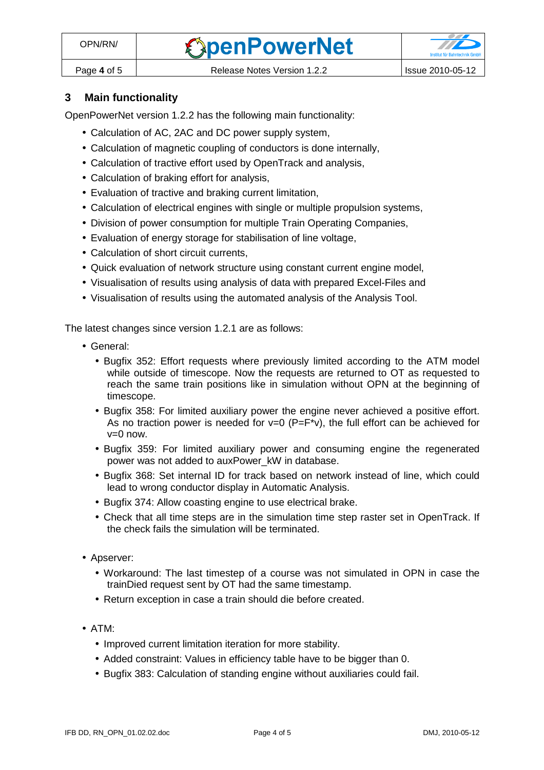#### **3 Main functionality**

OpenPowerNet version 1.2.2 has the following main functionality:

- Calculation of AC, 2AC and DC power supply system,
- Calculation of magnetic coupling of conductors is done internally,
- Calculation of tractive effort used by OpenTrack and analysis,
- Calculation of braking effort for analysis,
- Evaluation of tractive and braking current limitation,
- Calculation of electrical engines with single or multiple propulsion systems,
- Division of power consumption for multiple Train Operating Companies,
- Evaluation of energy storage for stabilisation of line voltage,
- Calculation of short circuit currents,
- Quick evaluation of network structure using constant current engine model,
- Visualisation of results using analysis of data with prepared Excel-Files and
- Visualisation of results using the automated analysis of the Analysis Tool.

The latest changes since version 1.2.1 are as follows:

- General:
	- Bugfix 352: Effort requests where previously limited according to the ATM model while outside of timescope. Now the requests are returned to OT as requested to reach the same train positions like in simulation without OPN at the beginning of timescope.
	- Bugfix 358: For limited auxiliary power the engine never achieved a positive effort. As no traction power is needed for  $v=0$  (P=F<sup>\*</sup>v), the full effort can be achieved for  $v=0$  now.
	- Bugfix 359: For limited auxiliary power and consuming engine the regenerated power was not added to auxPower\_kW in database.
	- Bugfix 368: Set internal ID for track based on network instead of line, which could lead to wrong conductor display in Automatic Analysis.
	- Bugfix 374: Allow coasting engine to use electrical brake.
	- Check that all time steps are in the simulation time step raster set in OpenTrack. If the check fails the simulation will be terminated.
- Apserver:
	- Workaround: The last timestep of a course was not simulated in OPN in case the trainDied request sent by OT had the same timestamp.
	- Return exception in case a train should die before created.
- ATM:
	- Improved current limitation iteration for more stability.
	- Added constraint: Values in efficiency table have to be bigger than 0.
	- Bugfix 383: Calculation of standing engine without auxiliaries could fail.